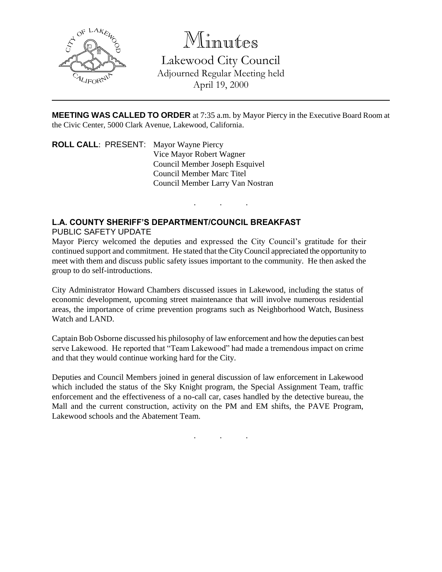

Minutes

Lakewood City Council Adjourned Regular Meeting held April 19, 2000

**MEETING WAS CALLED TO ORDER** at 7:35 a.m. by Mayor Piercy in the Executive Board Room at the Civic Center, 5000 Clark Avenue, Lakewood, California.

. . .

**ROLL CALL**: PRESENT: Mayor Wayne Piercy Vice Mayor Robert Wagner Council Member Joseph Esquivel Council Member Marc Titel Council Member Larry Van Nostran

## **L.A. COUNTY SHERIFF'S DEPARTMENT/COUNCIL BREAKFAST**

PUBLIC SAFETY UPDATE

Mayor Piercy welcomed the deputies and expressed the City Council's gratitude for their continued support and commitment. He stated that the City Council appreciated the opportunity to meet with them and discuss public safety issues important to the community. He then asked the group to do self-introductions.

City Administrator Howard Chambers discussed issues in Lakewood, including the status of economic development, upcoming street maintenance that will involve numerous residential areas, the importance of crime prevention programs such as Neighborhood Watch, Business Watch and LAND.

Captain Bob Osborne discussed his philosophy of law enforcement and how the deputies can best serve Lakewood. He reported that "Team Lakewood" had made a tremendous impact on crime and that they would continue working hard for the City.

Deputies and Council Members joined in general discussion of law enforcement in Lakewood which included the status of the Sky Knight program, the Special Assignment Team, traffic enforcement and the effectiveness of a no-call car, cases handled by the detective bureau, the Mall and the current construction, activity on the PM and EM shifts, the PAVE Program, Lakewood schools and the Abatement Team.

. . .